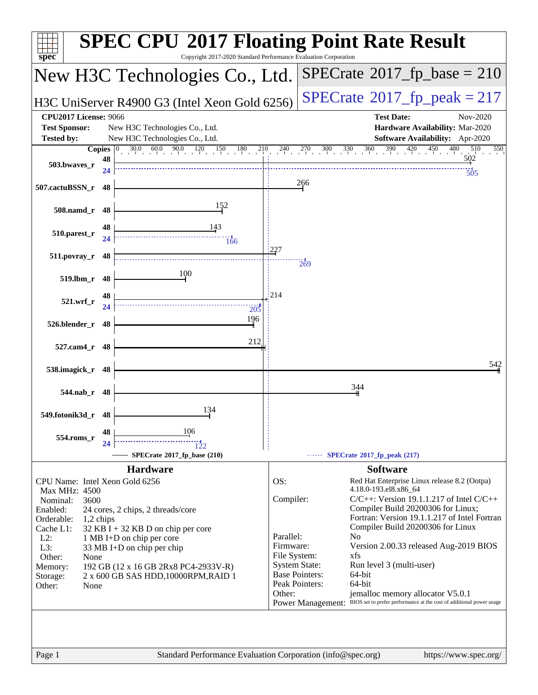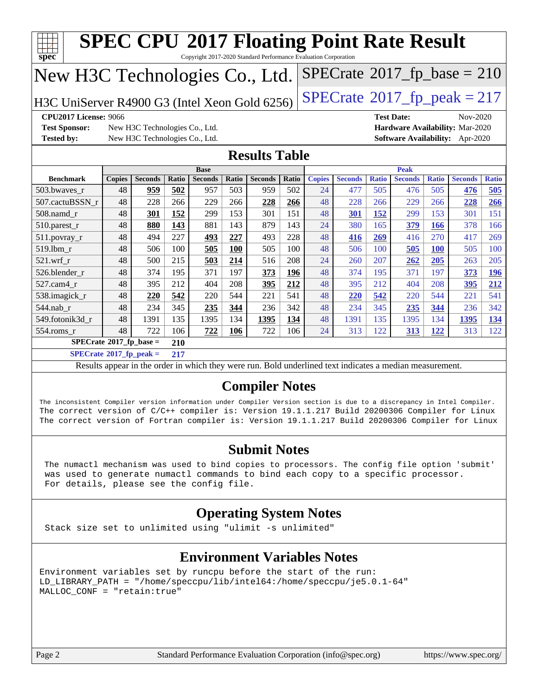| New H3C Technologies Co., Ltd.<br>$SPECTate@2017_fp\_peak = 217$<br>H3C UniServer R4900 G3 (Intel Xeon Gold 6256)                                                                                                                                                                                                                                                                                                                                                  |               |                                                                  |              |                |              |                      |              |               |                |              |                   |              |                                                                                |              |
|--------------------------------------------------------------------------------------------------------------------------------------------------------------------------------------------------------------------------------------------------------------------------------------------------------------------------------------------------------------------------------------------------------------------------------------------------------------------|---------------|------------------------------------------------------------------|--------------|----------------|--------------|----------------------|--------------|---------------|----------------|--------------|-------------------|--------------|--------------------------------------------------------------------------------|--------------|
| CPU2017 License: 9066<br><b>Test Sponsor:</b><br><b>Tested by:</b>                                                                                                                                                                                                                                                                                                                                                                                                 |               | New H3C Technologies Co., Ltd.<br>New H3C Technologies Co., Ltd. |              |                |              |                      |              |               |                |              | <b>Test Date:</b> |              | Nov-2020<br>Hardware Availability: Mar-2020<br>Software Availability: Apr-2020 |              |
|                                                                                                                                                                                                                                                                                                                                                                                                                                                                    |               |                                                                  |              |                |              | <b>Results Table</b> |              |               |                |              |                   |              |                                                                                |              |
| <b>Base</b><br><b>Peak</b>                                                                                                                                                                                                                                                                                                                                                                                                                                         |               |                                                                  |              |                |              |                      |              |               |                |              |                   |              |                                                                                |              |
| <b>Benchmark</b>                                                                                                                                                                                                                                                                                                                                                                                                                                                   | <b>Copies</b> | <b>Seconds</b>                                                   | <b>Ratio</b> | <b>Seconds</b> | <b>Ratio</b> | <b>Seconds</b>       | <b>Ratio</b> | <b>Copies</b> | <b>Seconds</b> | <b>Ratio</b> | <b>Seconds</b>    | <b>Ratio</b> | <b>Seconds</b>                                                                 | <b>Ratio</b> |
| 503.bwayes r<br>507.cactuBSSN r                                                                                                                                                                                                                                                                                                                                                                                                                                    | 48<br>48      | 959<br>228                                                       | 502<br>266   | 957<br>229     | 503<br>266   | 959<br>228           | 502<br>266   | 24<br>48      | 477<br>228     | 505<br>266   | 476<br>229        | 505<br>266   | 476<br>228                                                                     | 505<br>266   |
| $508$ .namd $r$                                                                                                                                                                                                                                                                                                                                                                                                                                                    | 48            | 301                                                              | 152          | 299            | 153          | 301                  | 151          | 48            | 301            | 152          | 299               | 153          | 301                                                                            | 151          |
| $510.parest_r$                                                                                                                                                                                                                                                                                                                                                                                                                                                     | 48            | 880                                                              | 143          | 881            | 143          | 879                  | 143          | 24            | 380            | 165          | 379               | 166          | 378                                                                            | 166          |
| 511.povray_r                                                                                                                                                                                                                                                                                                                                                                                                                                                       | 48            | 494                                                              | 227          | 493            | 227          | 493                  | 228          | 48            | 416            | 269          | 416               | 270          | 417                                                                            | 269          |
| 519.1bm r                                                                                                                                                                                                                                                                                                                                                                                                                                                          | 48            | 506                                                              | 100          | 505            | <b>100</b>   | 505                  | 100          | 48            | 506            | 100          | 505               | 100          | 505                                                                            | 100          |
| $521$ .wrf r                                                                                                                                                                                                                                                                                                                                                                                                                                                       | 48            | 500                                                              | 215          | 503            | 214          | 516                  | 208          | 24            | 260            | 207          | 262               | 205          | 263                                                                            | 205          |
| 526.blender_r                                                                                                                                                                                                                                                                                                                                                                                                                                                      | 48            | 374                                                              | 195          | 371            | 197          | 373                  | <u>196</u>   | 48            | 374            | 195          | 371               | 197          | 373                                                                            | 196          |
| 527.cam4 r                                                                                                                                                                                                                                                                                                                                                                                                                                                         | 48            | 395                                                              | 212          | 404            | 208          | 395                  | 212          | 48            | 395            | 212          | 404               | 208          | 395                                                                            | 212          |
| 538.imagick_r                                                                                                                                                                                                                                                                                                                                                                                                                                                      | 48            | 220                                                              | 542          | 220            | 544          | 221                  | 541          | 48            | 220            | 542          | 220               | 544          | 221                                                                            | 541          |
| 544.nab r                                                                                                                                                                                                                                                                                                                                                                                                                                                          | 48            | 234                                                              | 345          | 235            | 344          | 236                  | 342          | 48            | 234            | 345          | 235               | 344          | 236                                                                            | 342          |
| 549.fotonik3d r                                                                                                                                                                                                                                                                                                                                                                                                                                                    | 48            | 1391                                                             | 135          | 1395           | 134          | 1395                 | 134          | 48            | 1391           | 135          | 1395              | 134          | 1395                                                                           | 134          |
| 554.roms_r                                                                                                                                                                                                                                                                                                                                                                                                                                                         | 48            | 722                                                              | 106          | 722            | 106          | 722                  | 106          | 24            | 313            | 122          | 313               | 122          | 313                                                                            | 122          |
| $SPECrate$ <sup>®</sup> 2017_fp_base =                                                                                                                                                                                                                                                                                                                                                                                                                             |               |                                                                  | 210          |                |              |                      |              |               |                |              |                   |              |                                                                                |              |
| $SPECrate^{\circ}2017$ _fp_peak =                                                                                                                                                                                                                                                                                                                                                                                                                                  |               |                                                                  | 217          |                |              |                      |              |               |                |              |                   |              |                                                                                |              |
|                                                                                                                                                                                                                                                                                                                                                                                                                                                                    |               |                                                                  |              |                |              |                      |              |               |                |              |                   |              |                                                                                |              |
| Results appear in the order in which they were run. Bold underlined text indicates a median measurement.<br><b>Compiler Notes</b><br>The inconsistent Compiler version information under Compiler Version section is due to a discrepancy in Intel Compiler.<br>The correct version of C/C++ compiler is: Version 19.1.1.217 Build 20200306 Compiler for Linux<br>The correct version of Fortran compiler is: Version 19.1.1.217 Build 20200306 Compiler for Linux |               |                                                                  |              |                |              |                      |              |               |                |              |                   |              |                                                                                |              |

 The numactl mechanism was used to bind copies to processors. The config file option 'submit' was used to generate numactl commands to bind each copy to a specific processor. For details, please see the config file.

#### **[Operating System Notes](http://www.spec.org/auto/cpu2017/Docs/result-fields.html#OperatingSystemNotes)**

Stack size set to unlimited using "ulimit -s unlimited"

#### **[Environment Variables Notes](http://www.spec.org/auto/cpu2017/Docs/result-fields.html#EnvironmentVariablesNotes)**

Environment variables set by runcpu before the start of the run: LD\_LIBRARY\_PATH = "/home/speccpu/lib/intel64:/home/speccpu/je5.0.1-64" MALLOC\_CONF = "retain:true"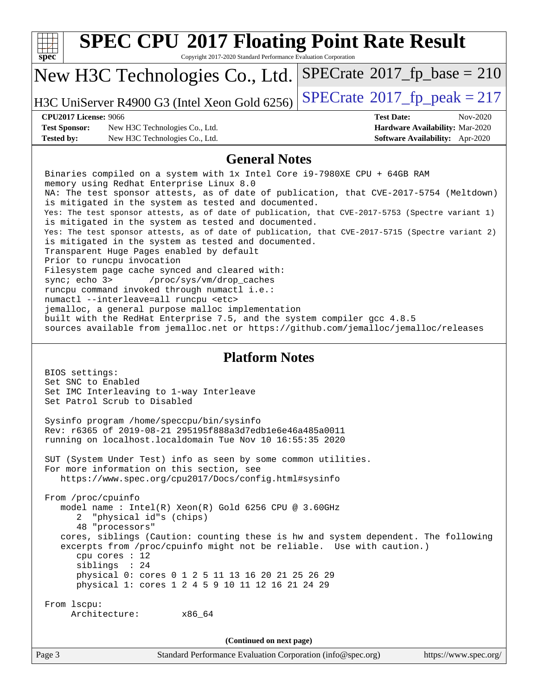| <b>SPEC CPU®2017 Floating Point Rate Result</b><br>Copyright 2017-2020 Standard Performance Evaluation Corporation                                              |                                                                  |  |  |  |  |  |  |
|-----------------------------------------------------------------------------------------------------------------------------------------------------------------|------------------------------------------------------------------|--|--|--|--|--|--|
| spec <sup>®</sup>                                                                                                                                               | $SPECrate^{\circ}2017$ _fp_base = 210                            |  |  |  |  |  |  |
| New H3C Technologies Co., Ltd.                                                                                                                                  |                                                                  |  |  |  |  |  |  |
| H3C UniServer R4900 G3 (Intel Xeon Gold 6256)                                                                                                                   | $SPECTate@2017_fp\_peak = 217$                                   |  |  |  |  |  |  |
| <b>CPU2017 License: 9066</b><br><b>Test Sponsor:</b>                                                                                                            | <b>Test Date:</b><br>Nov-2020<br>Hardware Availability: Mar-2020 |  |  |  |  |  |  |
| New H3C Technologies Co., Ltd.<br>New H3C Technologies Co., Ltd.<br><b>Tested by:</b>                                                                           | Software Availability: Apr-2020                                  |  |  |  |  |  |  |
| <b>General Notes</b>                                                                                                                                            |                                                                  |  |  |  |  |  |  |
| Binaries compiled on a system with 1x Intel Core i9-7980XE CPU + 64GB RAM                                                                                       |                                                                  |  |  |  |  |  |  |
| memory using Redhat Enterprise Linux 8.0<br>NA: The test sponsor attests, as of date of publication, that CVE-2017-5754 (Meltdown)                              |                                                                  |  |  |  |  |  |  |
| is mitigated in the system as tested and documented.<br>Yes: The test sponsor attests, as of date of publication, that CVE-2017-5753 (Spectre variant 1)        |                                                                  |  |  |  |  |  |  |
| is mitigated in the system as tested and documented.                                                                                                            |                                                                  |  |  |  |  |  |  |
| Yes: The test sponsor attests, as of date of publication, that CVE-2017-5715 (Spectre variant 2)<br>is mitigated in the system as tested and documented.        |                                                                  |  |  |  |  |  |  |
| Transparent Huge Pages enabled by default<br>Prior to runcpu invocation                                                                                         |                                                                  |  |  |  |  |  |  |
| Filesystem page cache synced and cleared with:<br>sync; echo 3><br>/proc/sys/vm/drop_caches                                                                     |                                                                  |  |  |  |  |  |  |
| runcpu command invoked through numactl i.e.:<br>numactl --interleave=all runcpu <etc></etc>                                                                     |                                                                  |  |  |  |  |  |  |
| jemalloc, a general purpose malloc implementation                                                                                                               |                                                                  |  |  |  |  |  |  |
| built with the RedHat Enterprise 7.5, and the system compiler gcc 4.8.5<br>sources available from jemalloc.net or https://github.com/jemalloc/jemalloc/releases |                                                                  |  |  |  |  |  |  |
|                                                                                                                                                                 |                                                                  |  |  |  |  |  |  |
| <b>Platform Notes</b>                                                                                                                                           |                                                                  |  |  |  |  |  |  |
| BIOS settings:<br>Set SNC to Enabled                                                                                                                            |                                                                  |  |  |  |  |  |  |
| Set IMC Interleaving to 1-way Interleave<br>Set Patrol Scrub to Disabled                                                                                        |                                                                  |  |  |  |  |  |  |
| Sysinfo program /home/speccpu/bin/sysinfo                                                                                                                       |                                                                  |  |  |  |  |  |  |
| Rev: r6365 of 2019-08-21 295195f888a3d7edble6e46a485a0011<br>running on localhost.localdomain Tue Nov 10 16:55:35 2020                                          |                                                                  |  |  |  |  |  |  |
|                                                                                                                                                                 |                                                                  |  |  |  |  |  |  |
| SUT (System Under Test) info as seen by some common utilities.<br>For more information on this section, see                                                     |                                                                  |  |  |  |  |  |  |
| https://www.spec.org/cpu2017/Docs/config.html#sysinfo                                                                                                           |                                                                  |  |  |  |  |  |  |
| From /proc/cpuinfo<br>model name : Intel(R) Xeon(R) Gold 6256 CPU @ 3.60GHz                                                                                     |                                                                  |  |  |  |  |  |  |
| "physical id"s (chips)<br>2                                                                                                                                     |                                                                  |  |  |  |  |  |  |
| 48 "processors"<br>cores, siblings (Caution: counting these is hw and system dependent. The following                                                           |                                                                  |  |  |  |  |  |  |
| excerpts from /proc/cpuinfo might not be reliable. Use with caution.)<br>cpu cores : 12                                                                         |                                                                  |  |  |  |  |  |  |
| siblings : 24<br>physical 0: cores 0 1 2 5 11 13 16 20 21 25 26 29                                                                                              |                                                                  |  |  |  |  |  |  |
| physical 1: cores 1 2 4 5 9 10 11 12 16 21 24 29                                                                                                                |                                                                  |  |  |  |  |  |  |
| From 1scpu:                                                                                                                                                     |                                                                  |  |  |  |  |  |  |
| Architecture:<br>x86_64                                                                                                                                         |                                                                  |  |  |  |  |  |  |
| (Continued on next page)                                                                                                                                        |                                                                  |  |  |  |  |  |  |
| Standard Performance Evaluation Corporation (info@spec.org)<br>Page 3                                                                                           | https://www.spec.org/                                            |  |  |  |  |  |  |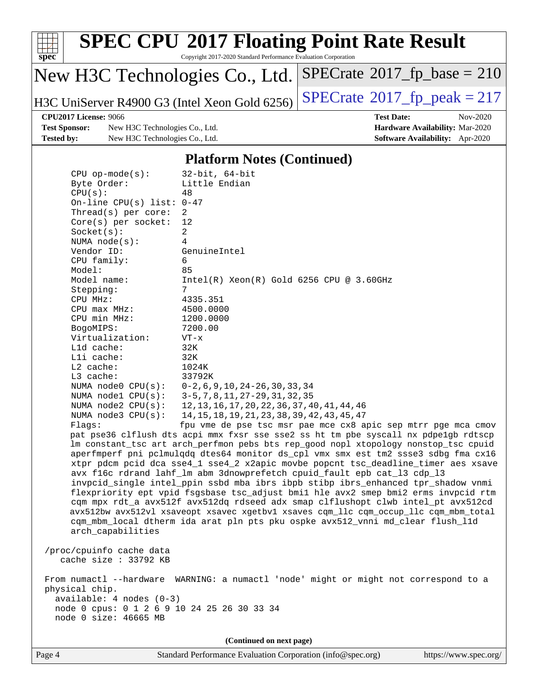

Copyright 2017-2020 Standard Performance Evaluation Corporation

### New H3C Technologies Co., Ltd.

H3C UniServer R4900 G3 (Intel Xeon Gold 6256) [SPECrate](http://www.spec.org/auto/cpu2017/Docs/result-fields.html#SPECrate2017fppeak)®2017\_fp\_peak =  $217$ 

 $SPECrate$ <sup>®</sup>[2017\\_fp\\_base =](http://www.spec.org/auto/cpu2017/Docs/result-fields.html#SPECrate2017fpbase) 210

**[Test Sponsor:](http://www.spec.org/auto/cpu2017/Docs/result-fields.html#TestSponsor)** New H3C Technologies Co., Ltd. **[Hardware Availability:](http://www.spec.org/auto/cpu2017/Docs/result-fields.html#HardwareAvailability)** Mar-2020 **[Tested by:](http://www.spec.org/auto/cpu2017/Docs/result-fields.html#Testedby)** New H3C Technologies Co., Ltd. **[Software Availability:](http://www.spec.org/auto/cpu2017/Docs/result-fields.html#SoftwareAvailability)** Apr-2020

**[CPU2017 License:](http://www.spec.org/auto/cpu2017/Docs/result-fields.html#CPU2017License)** 9066 **[Test Date:](http://www.spec.org/auto/cpu2017/Docs/result-fields.html#TestDate)** Nov-2020

#### **[Platform Notes \(Continued\)](http://www.spec.org/auto/cpu2017/Docs/result-fields.html#PlatformNotes)**

| $CPU$ op-mode( $s$ ):                                                | $32$ -bit, $64$ -bit                                                                 |
|----------------------------------------------------------------------|--------------------------------------------------------------------------------------|
| Byte Order:                                                          | Little Endian                                                                        |
| CPU(s):                                                              | 48                                                                                   |
| On-line CPU(s) list: $0-47$                                          |                                                                                      |
| Thread(s) per core:                                                  | 2                                                                                    |
| $Core(s)$ per socket:                                                | 12                                                                                   |
| Socket(s):                                                           | 2                                                                                    |
| NUMA $node(s):$                                                      | 4                                                                                    |
| Vendor ID:                                                           | GenuineIntel                                                                         |
| CPU family:                                                          | 6                                                                                    |
| Model:                                                               | 85                                                                                   |
| Model name:                                                          | $Intel(R)$ Xeon $(R)$ Gold 6256 CPU @ 3.60GHz                                        |
| Stepping:                                                            | $7\overline{ }$                                                                      |
| CPU MHz:                                                             | 4335.351                                                                             |
| $CPU$ max $MHz$ :                                                    | 4500.0000                                                                            |
| CPU min MHz:                                                         | 1200.0000                                                                            |
| BogoMIPS:                                                            | 7200.00                                                                              |
| Virtualization:                                                      | $VT - x$                                                                             |
| L1d cache:                                                           | 32K                                                                                  |
| Lli cache:                                                           | 32K                                                                                  |
| $L2$ cache:                                                          | 1024K                                                                                |
| L3 cache:                                                            | 33792K                                                                               |
| NUMA node0 CPU(s):                                                   | $0-2, 6, 9, 10, 24-26, 30, 33, 34$                                                   |
| NUMA nodel CPU(s):                                                   | 3-5, 7, 8, 11, 27-29, 31, 32, 35                                                     |
| NUMA $node2$ $CPU(s)$ :                                              | 12, 13, 16, 17, 20, 22, 36, 37, 40, 41, 44, 46                                       |
| NUMA $node3$ CPU $(s)$ :                                             | 14, 15, 18, 19, 21, 23, 38, 39, 42, 43, 45, 47                                       |
| Flags:                                                               | fpu vme de pse tsc msr pae mce cx8 apic sep mtrr pge mca cmov                        |
|                                                                      | pat pse36 clflush dts acpi mmx fxsr sse sse2 ss ht tm pbe syscall nx pdpelgb rdtscp  |
|                                                                      | lm constant_tsc art arch_perfmon pebs bts rep_good nopl xtopology nonstop_tsc cpuid  |
|                                                                      | aperfmperf pni pclmulqdq dtes64 monitor ds_cpl vmx smx est tm2 ssse3 sdbg fma cx16   |
|                                                                      | xtpr pdcm pcid dca sse4_1 sse4_2 x2apic movbe popcnt tsc_deadline_timer aes xsave    |
|                                                                      | avx f16c rdrand lahf_lm abm 3dnowprefetch cpuid_fault epb cat_13 cdp_13              |
|                                                                      | invpcid_single intel_ppin ssbd mba ibrs ibpb stibp ibrs_enhanced tpr_shadow vnmi     |
|                                                                      | flexpriority ept vpid fsgsbase tsc_adjust bmil hle avx2 smep bmi2 erms invpcid rtm   |
|                                                                      | cqm mpx rdt_a avx512f avx512dq rdseed adx smap clflushopt clwb intel_pt avx512cd     |
|                                                                      | avx512bw avx512vl xsaveopt xsavec xgetbvl xsaves cqm_llc cqm_occup_llc cqm_mbm_total |
|                                                                      | cqm_mbm_local dtherm ida arat pln pts pku ospke avx512_vnni md_clear flush_l1d       |
| arch_capabilities                                                    |                                                                                      |
|                                                                      |                                                                                      |
| /proc/cpuinfo cache data                                             |                                                                                      |
| cache size : $33792$ KB                                              |                                                                                      |
|                                                                      |                                                                                      |
|                                                                      | From numactl --hardware WARNING: a numactl 'node' might or might not correspond to a |
| physical chip.                                                       |                                                                                      |
| $available: 4 nodes (0-3)$                                           |                                                                                      |
| node 0 cpus: 0 1 2 6 9 10 24 25 26 30 33 34<br>node 0 size: 46665 MB |                                                                                      |
|                                                                      |                                                                                      |
|                                                                      |                                                                                      |
|                                                                      | (Continued on next page)                                                             |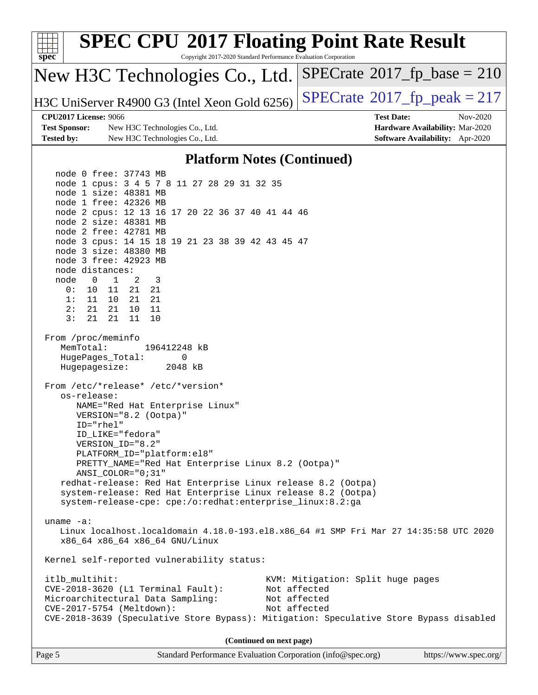| <b>SPEC CPU®2017 Floating Point Rate Result</b><br>spec<br>Copyright 2017-2020 Standard Performance Evaluation Corporation                                                                                                                                                                                                                                                                                                                                                                                |                                                                                                            |
|-----------------------------------------------------------------------------------------------------------------------------------------------------------------------------------------------------------------------------------------------------------------------------------------------------------------------------------------------------------------------------------------------------------------------------------------------------------------------------------------------------------|------------------------------------------------------------------------------------------------------------|
| New H3C Technologies Co., Ltd.                                                                                                                                                                                                                                                                                                                                                                                                                                                                            | $SPECrate^{\circ}2017$ _fp_base = 210                                                                      |
| H3C UniServer R4900 G3 (Intel Xeon Gold 6256)                                                                                                                                                                                                                                                                                                                                                                                                                                                             | $SPECTate@2017_fp\_peak = 217$                                                                             |
| <b>CPU2017 License: 9066</b><br><b>Test Sponsor:</b><br>New H3C Technologies Co., Ltd.<br><b>Tested by:</b><br>New H3C Technologies Co., Ltd.                                                                                                                                                                                                                                                                                                                                                             | <b>Test Date:</b><br>Nov-2020<br>Hardware Availability: Mar-2020<br><b>Software Availability:</b> Apr-2020 |
| <b>Platform Notes (Continued)</b>                                                                                                                                                                                                                                                                                                                                                                                                                                                                         |                                                                                                            |
| node 0 free: 37743 MB<br>node 1 cpus: 3 4 5 7 8 11 27 28 29 31 32 35<br>node 1 size: 48381 MB<br>node 1 free: 42326 MB<br>node 2 cpus: 12 13 16 17 20 22 36 37 40 41 44 46<br>node 2 size: 48381 MB<br>node 2 free: 42781 MB<br>node 3 cpus: 14 15 18 19 21 23 38 39 42 43 45 47<br>node 3 size: 48380 MB<br>node 3 free: 42923 MB<br>node distances:<br>node<br>2<br>3<br>$\overline{0}$<br>$\mathbf{1}$<br>21 21<br>0:<br>10 11<br>1: 11 10 21 21<br>2:<br>21  21  10  11<br>3:<br>21<br>21<br>11<br>10 |                                                                                                            |
| From /proc/meminfo<br>MemTotal:<br>196412248 kB<br>HugePages_Total:<br>0<br>Hugepagesize:<br>2048 kB<br>From /etc/*release* /etc/*version*<br>os-release:<br>NAME="Red Hat Enterprise Linux"<br>VERSION="8.2 (Ootpa)"<br>ID="rhel"<br>ID_LIKE="fedora"<br>VERSION ID="8.2"<br>PLATFORM_ID="platform:el8"                                                                                                                                                                                                  |                                                                                                            |
| PRETTY_NAME="Red Hat Enterprise Linux 8.2 (Ootpa)"<br>ANSI_COLOR="0;31"<br>redhat-release: Red Hat Enterprise Linux release 8.2 (Ootpa)<br>system-release: Red Hat Enterprise Linux release 8.2 (Ootpa)<br>system-release-cpe: cpe:/o:redhat:enterprise_linux:8.2:ga                                                                                                                                                                                                                                      |                                                                                                            |
| $uname -a$ :<br>Linux localhost.localdomain 4.18.0-193.el8.x86_64 #1 SMP Fri Mar 27 14:35:58 UTC 2020<br>x86_64 x86_64 x86_64 GNU/Linux                                                                                                                                                                                                                                                                                                                                                                   |                                                                                                            |
| Kernel self-reported vulnerability status:                                                                                                                                                                                                                                                                                                                                                                                                                                                                |                                                                                                            |
| itlb_multihit:<br>$CVE-2018-3620$ (L1 Terminal Fault):<br>Microarchitectural Data Sampling:<br>CVE-2017-5754 (Meltdown):<br>CVE-2018-3639 (Speculative Store Bypass): Mitigation: Speculative Store Bypass disabled                                                                                                                                                                                                                                                                                       | KVM: Mitigation: Split huge pages<br>Not affected<br>Not affected<br>Not affected                          |
| (Continued on next page)                                                                                                                                                                                                                                                                                                                                                                                                                                                                                  |                                                                                                            |
| Page 5<br>Standard Performance Evaluation Corporation (info@spec.org)                                                                                                                                                                                                                                                                                                                                                                                                                                     | https://www.spec.org/                                                                                      |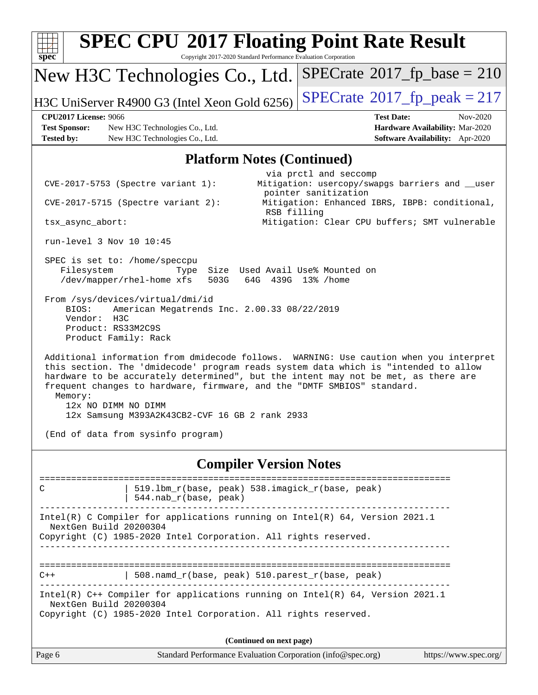| Spec                         | <b>SPEC CPU®2017 Floating Point Rate Result</b><br>Copyright 2017-2020 Standard Performance Evaluation Corporation                                                                                                                                                                                                                                                                                                      |                          |                                                                                                  |                                 |
|------------------------------|-------------------------------------------------------------------------------------------------------------------------------------------------------------------------------------------------------------------------------------------------------------------------------------------------------------------------------------------------------------------------------------------------------------------------|--------------------------|--------------------------------------------------------------------------------------------------|---------------------------------|
|                              | New H3C Technologies Co., Ltd.                                                                                                                                                                                                                                                                                                                                                                                          |                          | $SPECrate^{\circ}2017$ _fp_base = 210                                                            |                                 |
|                              | H3C UniServer R4900 G3 (Intel Xeon Gold 6256)                                                                                                                                                                                                                                                                                                                                                                           |                          | $SPECTate@2017fr peak = 217$                                                                     |                                 |
| <b>CPU2017 License: 9066</b> |                                                                                                                                                                                                                                                                                                                                                                                                                         |                          | <b>Test Date:</b>                                                                                | Nov-2020                        |
| <b>Test Sponsor:</b>         | New H3C Technologies Co., Ltd.                                                                                                                                                                                                                                                                                                                                                                                          |                          |                                                                                                  | Hardware Availability: Mar-2020 |
| <b>Tested by:</b>            | New H3C Technologies Co., Ltd.                                                                                                                                                                                                                                                                                                                                                                                          |                          |                                                                                                  | Software Availability: Apr-2020 |
|                              | <b>Platform Notes (Continued)</b>                                                                                                                                                                                                                                                                                                                                                                                       |                          |                                                                                                  |                                 |
|                              | $CVE-2017-5753$ (Spectre variant 1):                                                                                                                                                                                                                                                                                                                                                                                    |                          | via prctl and seccomp<br>Mitigation: usercopy/swapgs barriers and __user<br>pointer sanitization |                                 |
|                              | CVE-2017-5715 (Spectre variant 2):                                                                                                                                                                                                                                                                                                                                                                                      | RSB filling              | Mitigation: Enhanced IBRS, IBPB: conditional,                                                    |                                 |
| tsx_async_abort:             |                                                                                                                                                                                                                                                                                                                                                                                                                         |                          | Mitigation: Clear CPU buffers; SMT vulnerable                                                    |                                 |
|                              | run-level 3 Nov 10 10:45                                                                                                                                                                                                                                                                                                                                                                                                |                          |                                                                                                  |                                 |
| Filesystem                   | SPEC is set to: /home/speccpu<br>Type<br>/dev/mapper/rhel-home xfs<br>503G                                                                                                                                                                                                                                                                                                                                              | 64G                      | Size Used Avail Use% Mounted on<br>439G 13% / home                                               |                                 |
| BIOS:<br>Vendor:             | From /sys/devices/virtual/dmi/id<br>American Megatrends Inc. 2.00.33 08/22/2019<br>H3C<br>Product: RS33M2C9S<br>Product Family: Rack                                                                                                                                                                                                                                                                                    |                          |                                                                                                  |                                 |
| Memory:                      | Additional information from dmidecode follows. WARNING: Use caution when you interpret<br>this section. The 'dmidecode' program reads system data which is "intended to allow<br>hardware to be accurately determined", but the intent may not be met, as there are<br>frequent changes to hardware, firmware, and the "DMTF SMBIOS" standard.<br>12x NO DIMM NO DIMM<br>12x Samsung M393A2K43CB2-CVF 16 GB 2 rank 2933 |                          |                                                                                                  |                                 |
|                              | (End of data from sysinfo program)                                                                                                                                                                                                                                                                                                                                                                                      |                          |                                                                                                  |                                 |
|                              | <b>Compiler Version Notes</b>                                                                                                                                                                                                                                                                                                                                                                                           |                          |                                                                                                  |                                 |
| C                            | 519.1bm_r(base, peak) 538.imagick_r(base, peak)<br>544.nab_r(base, peak)                                                                                                                                                                                                                                                                                                                                                |                          |                                                                                                  |                                 |
|                              | Intel(R) C Compiler for applications running on Intel(R) 64, Version 2021.1<br>NextGen Build 20200304<br>Copyright (C) 1985-2020 Intel Corporation. All rights reserved.                                                                                                                                                                                                                                                |                          |                                                                                                  |                                 |
|                              |                                                                                                                                                                                                                                                                                                                                                                                                                         |                          |                                                                                                  |                                 |
| $C++$                        | 508.namd_r(base, peak) 510.parest_r(base, peak)                                                                                                                                                                                                                                                                                                                                                                         |                          |                                                                                                  |                                 |
|                              | Intel(R) C++ Compiler for applications running on Intel(R) 64, Version 2021.1<br>NextGen Build 20200304<br>Copyright (C) 1985-2020 Intel Corporation. All rights reserved.                                                                                                                                                                                                                                              |                          |                                                                                                  |                                 |
|                              |                                                                                                                                                                                                                                                                                                                                                                                                                         | (Continued on next page) |                                                                                                  |                                 |
| Page 6                       | Standard Performance Evaluation Corporation (info@spec.org)                                                                                                                                                                                                                                                                                                                                                             |                          |                                                                                                  | https://www.spec.org/           |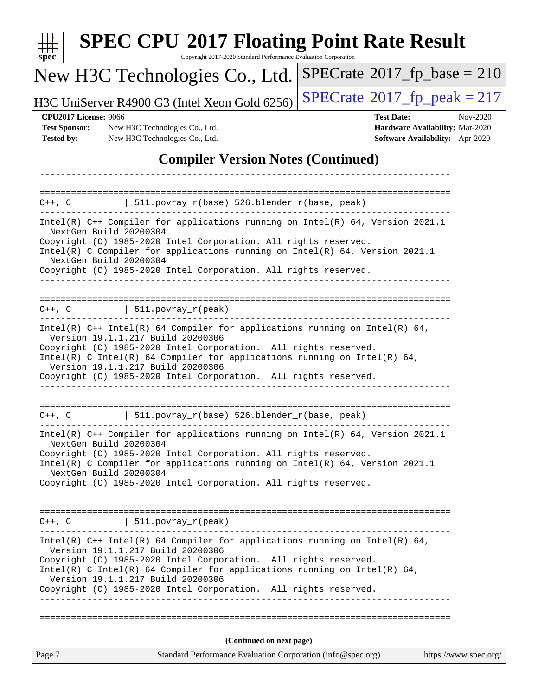| <b>SPEC CPU®2017 Floating Point Rate Result</b><br>Copyright 2017-2020 Standard Performance Evaluation Corporation<br>$spec^*$                                                                                                                                                                                                                                           |                                                                                       |
|--------------------------------------------------------------------------------------------------------------------------------------------------------------------------------------------------------------------------------------------------------------------------------------------------------------------------------------------------------------------------|---------------------------------------------------------------------------------------|
| New H3C Technologies Co., Ltd.                                                                                                                                                                                                                                                                                                                                           | $SPECrate^{\circ}2017$ fp base = 210                                                  |
| H3C UniServer R4900 G3 (Intel Xeon Gold 6256)                                                                                                                                                                                                                                                                                                                            | $SPECTate@2017_fp\_peak = 217$                                                        |
| <b>Test Date:</b><br><b>CPU2017 License: 9066</b><br><b>Test Sponsor:</b><br>New H3C Technologies Co., Ltd.<br><b>Tested by:</b><br>New H3C Technologies Co., Ltd.                                                                                                                                                                                                       | Nov-2020<br>Hardware Availability: Mar-2020<br><b>Software Availability:</b> Apr-2020 |
| <b>Compiler Version Notes (Continued)</b>                                                                                                                                                                                                                                                                                                                                |                                                                                       |
|                                                                                                                                                                                                                                                                                                                                                                          |                                                                                       |
| ==================<br>  $511. povray_r(base) 526. blender_r(base, peak)$<br>$C++$ , $C$                                                                                                                                                                                                                                                                                  |                                                                                       |
| Intel(R) C++ Compiler for applications running on Intel(R) 64, Version 2021.1<br>NextGen Build 20200304<br>Copyright (C) 1985-2020 Intel Corporation. All rights reserved.<br>Intel(R) C Compiler for applications running on Intel(R) 64, Version 2021.1<br>NextGen Build 20200304<br>Copyright (C) 1985-2020 Intel Corporation. All rights reserved.                   |                                                                                       |
| $C++$ , $C$<br>$\vert$ 511.povray_r(peak)                                                                                                                                                                                                                                                                                                                                |                                                                                       |
| Intel(R) C++ Intel(R) 64 Compiler for applications running on Intel(R) 64,<br>Version 19.1.1.217 Build 20200306<br>Copyright (C) 1985-2020 Intel Corporation. All rights reserved.<br>Intel(R) C Intel(R) 64 Compiler for applications running on Intel(R) 64,<br>Version 19.1.1.217 Build 20200306<br>Copyright (C) 1985-2020 Intel Corporation. All rights reserved.   |                                                                                       |
| 511.povray_r(base) 526.blender_r(base, peak)<br>$C++$ , $C$                                                                                                                                                                                                                                                                                                              |                                                                                       |
| Intel(R) $C++$ Compiler for applications running on Intel(R) 64, Version 2021.1<br>NextGen Build 20200304<br>Copyright (C) 1985-2020 Intel Corporation. All rights reserved.<br>Intel(R) C Compiler for applications running on $Intel(R) 64$ , Version 2021.1<br>NextGen Build 20200304<br>Copyright (C) 1985-2020 Intel Corporation. All rights reserved.              |                                                                                       |
|                                                                                                                                                                                                                                                                                                                                                                          |                                                                                       |
| $C++$ , C $\qquad \qquad \vert$ 511.povray_r(peak)                                                                                                                                                                                                                                                                                                                       |                                                                                       |
| Intel(R) $C++$ Intel(R) 64 Compiler for applications running on Intel(R) 64,<br>Version 19.1.1.217 Build 20200306<br>Copyright (C) 1985-2020 Intel Corporation. All rights reserved.<br>Intel(R) C Intel(R) 64 Compiler for applications running on Intel(R) 64,<br>Version 19.1.1.217 Build 20200306<br>Copyright (C) 1985-2020 Intel Corporation. All rights reserved. |                                                                                       |
|                                                                                                                                                                                                                                                                                                                                                                          |                                                                                       |
| (Continued on next page)<br>Page 7<br>Standard Performance Evaluation Corporation (info@spec.org)                                                                                                                                                                                                                                                                        | https://www.spec.org/                                                                 |
|                                                                                                                                                                                                                                                                                                                                                                          |                                                                                       |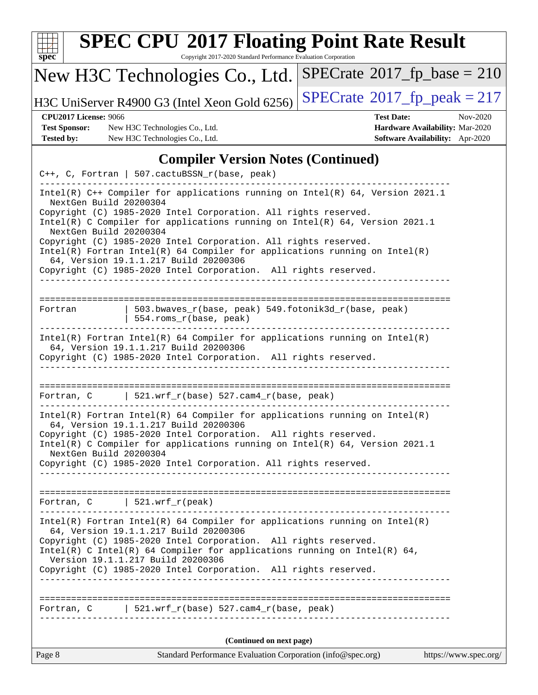| S<br>Dе<br>U |  |  |  |  |  |  |
|--------------|--|--|--|--|--|--|

Copyright 2017-2020 Standard Performance Evaluation Corporation

## New H3C Technologies Co., Ltd.

H3C UniServer R4900 G3 (Intel Xeon Gold 6256) [SPECrate](http://www.spec.org/auto/cpu2017/Docs/result-fields.html#SPECrate2017fppeak)®2017\_fp\_peak =  $217$ 

 $SPECTate$ <sup>®</sup>[2017\\_fp\\_base =](http://www.spec.org/auto/cpu2017/Docs/result-fields.html#SPECrate2017fpbase) 210

**[Test Sponsor:](http://www.spec.org/auto/cpu2017/Docs/result-fields.html#TestSponsor)** New H3C Technologies Co., Ltd. **[Hardware Availability:](http://www.spec.org/auto/cpu2017/Docs/result-fields.html#HardwareAvailability)** Mar-2020 **[Tested by:](http://www.spec.org/auto/cpu2017/Docs/result-fields.html#Testedby)** New H3C Technologies Co., Ltd. **[Software Availability:](http://www.spec.org/auto/cpu2017/Docs/result-fields.html#SoftwareAvailability)** Apr-2020

**[CPU2017 License:](http://www.spec.org/auto/cpu2017/Docs/result-fields.html#CPU2017License)** 9066 **[Test Date:](http://www.spec.org/auto/cpu2017/Docs/result-fields.html#TestDate)** Nov-2020

#### **[Compiler Version Notes \(Continued\)](http://www.spec.org/auto/cpu2017/Docs/result-fields.html#CompilerVersionNotes)**

|                                                  | C++, C, Fortran   507.cactuBSSN_r(base, peak)                                                                                                                                                                                                                                                                                                                                                                                                                                                       |                       |
|--------------------------------------------------|-----------------------------------------------------------------------------------------------------------------------------------------------------------------------------------------------------------------------------------------------------------------------------------------------------------------------------------------------------------------------------------------------------------------------------------------------------------------------------------------------------|-----------------------|
| NextGen Build 20200304<br>NextGen Build 20200304 | Intel(R) $C++$ Compiler for applications running on Intel(R) 64, Version 2021.1<br>Copyright (C) 1985-2020 Intel Corporation. All rights reserved.<br>Intel(R) C Compiler for applications running on Intel(R) $64$ , Version 2021.1<br>Copyright (C) 1985-2020 Intel Corporation. All rights reserved.<br>$Intel(R)$ Fortran Intel(R) 64 Compiler for applications running on Intel(R)<br>64, Version 19.1.1.217 Build 20200306<br>Copyright (C) 1985-2020 Intel Corporation. All rights reserved. |                       |
|                                                  |                                                                                                                                                                                                                                                                                                                                                                                                                                                                                                     |                       |
| Fortran                                          | 503.bwaves_r(base, peak) 549.fotonik3d_r(base, peak)<br>  554.roms_r(base, peak)<br>_____________________________                                                                                                                                                                                                                                                                                                                                                                                   |                       |
|                                                  | $Intel(R)$ Fortran Intel(R) 64 Compiler for applications running on Intel(R)<br>64, Version 19.1.1.217 Build 20200306                                                                                                                                                                                                                                                                                                                                                                               |                       |
|                                                  | Copyright (C) 1985-2020 Intel Corporation. All rights reserved.                                                                                                                                                                                                                                                                                                                                                                                                                                     |                       |
|                                                  | Fortran, C 521.wrf_r(base) 527.cam4_r(base, peak)                                                                                                                                                                                                                                                                                                                                                                                                                                                   |                       |
| NextGen Build 20200304                           | $Intel(R)$ Fortran Intel(R) 64 Compiler for applications running on Intel(R)<br>64, Version 19.1.1.217 Build 20200306<br>Copyright (C) 1985-2020 Intel Corporation. All rights reserved.<br>Intel(R) C Compiler for applications running on Intel(R) $64$ , Version 2021.1<br>Copyright (C) 1985-2020 Intel Corporation. All rights reserved.                                                                                                                                                       |                       |
|                                                  | Fortran, $C$   521.wrf_r(peak)                                                                                                                                                                                                                                                                                                                                                                                                                                                                      |                       |
|                                                  | Intel(R) Fortran Intel(R) 64 Compiler for applications running on Intel(R)<br>64, Version 19.1.1.217 Build 20200306<br>Copyright (C) 1985-2020 Intel Corporation. All rights reserved.<br>Intel(R) C Intel(R) 64 Compiler for applications running on Intel(R) 64,<br>Version 19.1.1.217 Build 20200306<br>Copyright (C) 1985-2020 Intel Corporation. All rights reserved.<br>____________________                                                                                                  |                       |
|                                                  | Fortran, C   521.wrf_r(base) 527.cam4_r(base, peak)                                                                                                                                                                                                                                                                                                                                                                                                                                                 |                       |
|                                                  | (Continued on next page)                                                                                                                                                                                                                                                                                                                                                                                                                                                                            |                       |
| Page 8                                           | Standard Performance Evaluation Corporation (info@spec.org)                                                                                                                                                                                                                                                                                                                                                                                                                                         | https://www.spec.org/ |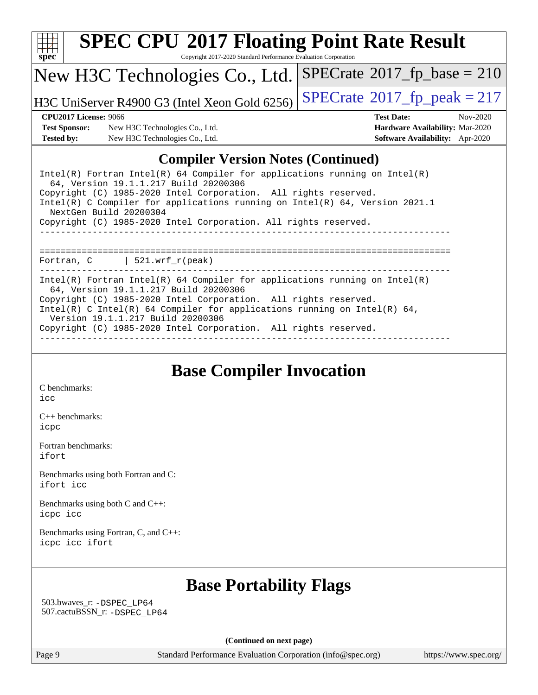

Copyright 2017-2020 Standard Performance Evaluation Corporation

#### New H3C Technologies Co., Ltd.

H3C UniServer R4900 G3 (Intel Xeon Gold 6256) [SPECrate](http://www.spec.org/auto/cpu2017/Docs/result-fields.html#SPECrate2017fppeak)®[2017\\_fp\\_peak = 2](http://www.spec.org/auto/cpu2017/Docs/result-fields.html#SPECrate2017fppeak)17

 $SPECrate$ <sup>®</sup>[2017\\_fp\\_base =](http://www.spec.org/auto/cpu2017/Docs/result-fields.html#SPECrate2017fpbase) 210

**[Test Sponsor:](http://www.spec.org/auto/cpu2017/Docs/result-fields.html#TestSponsor)** New H3C Technologies Co., Ltd. **[Hardware Availability:](http://www.spec.org/auto/cpu2017/Docs/result-fields.html#HardwareAvailability)** Mar-2020 **[Tested by:](http://www.spec.org/auto/cpu2017/Docs/result-fields.html#Testedby)** New H3C Technologies Co., Ltd. **[Software Availability:](http://www.spec.org/auto/cpu2017/Docs/result-fields.html#SoftwareAvailability)** Apr-2020

**[CPU2017 License:](http://www.spec.org/auto/cpu2017/Docs/result-fields.html#CPU2017License)** 9066 **[Test Date:](http://www.spec.org/auto/cpu2017/Docs/result-fields.html#TestDate)** Nov-2020

#### **[Compiler Version Notes \(Continued\)](http://www.spec.org/auto/cpu2017/Docs/result-fields.html#CompilerVersionNotes)**

| Intel(R) Fortran Intel(R) 64 Compiler for applications running on Intel(R)<br>64, Version 19.1.1.217 Build 20200306<br>Copyright (C) 1985-2020 Intel Corporation. All rights reserved.<br>Intel(R) C Compiler for applications running on Intel(R) $64$ , Version 2021.1<br>NextGen Build 20200304 |
|----------------------------------------------------------------------------------------------------------------------------------------------------------------------------------------------------------------------------------------------------------------------------------------------------|
| Copyright (C) 1985-2020 Intel Corporation. All rights reserved.                                                                                                                                                                                                                                    |
|                                                                                                                                                                                                                                                                                                    |
| Fortran, $C$   521.wrf_r(peak)                                                                                                                                                                                                                                                                     |
|                                                                                                                                                                                                                                                                                                    |
| Intel(R) Fortran Intel(R) 64 Compiler for applications running on Intel(R)<br>64, Version 19.1.1.217 Build 20200306                                                                                                                                                                                |
| Copyright (C) 1985-2020 Intel Corporation. All rights reserved.                                                                                                                                                                                                                                    |
| Intel(R) C Intel(R) 64 Compiler for applications running on Intel(R) 64,<br>Version 19.1.1.217 Build 20200306                                                                                                                                                                                      |
| Copyright (C) 1985-2020 Intel Corporation. All rights reserved.                                                                                                                                                                                                                                    |
|                                                                                                                                                                                                                                                                                                    |

#### **[Base Compiler Invocation](http://www.spec.org/auto/cpu2017/Docs/result-fields.html#BaseCompilerInvocation)**

[C benchmarks](http://www.spec.org/auto/cpu2017/Docs/result-fields.html#Cbenchmarks): [icc](http://www.spec.org/cpu2017/results/res2020q4/cpu2017-20201112-24389.flags.html#user_CCbase_intel_icc_66fc1ee009f7361af1fbd72ca7dcefbb700085f36577c54f309893dd4ec40d12360134090235512931783d35fd58c0460139e722d5067c5574d8eaf2b3e37e92)

[C++ benchmarks:](http://www.spec.org/auto/cpu2017/Docs/result-fields.html#CXXbenchmarks) [icpc](http://www.spec.org/cpu2017/results/res2020q4/cpu2017-20201112-24389.flags.html#user_CXXbase_intel_icpc_c510b6838c7f56d33e37e94d029a35b4a7bccf4766a728ee175e80a419847e808290a9b78be685c44ab727ea267ec2f070ec5dc83b407c0218cded6866a35d07)

[Fortran benchmarks](http://www.spec.org/auto/cpu2017/Docs/result-fields.html#Fortranbenchmarks): [ifort](http://www.spec.org/cpu2017/results/res2020q4/cpu2017-20201112-24389.flags.html#user_FCbase_intel_ifort_8111460550e3ca792625aed983ce982f94888b8b503583aa7ba2b8303487b4d8a21a13e7191a45c5fd58ff318f48f9492884d4413fa793fd88dd292cad7027ca)

[Benchmarks using both Fortran and C](http://www.spec.org/auto/cpu2017/Docs/result-fields.html#BenchmarksusingbothFortranandC): [ifort](http://www.spec.org/cpu2017/results/res2020q4/cpu2017-20201112-24389.flags.html#user_CC_FCbase_intel_ifort_8111460550e3ca792625aed983ce982f94888b8b503583aa7ba2b8303487b4d8a21a13e7191a45c5fd58ff318f48f9492884d4413fa793fd88dd292cad7027ca) [icc](http://www.spec.org/cpu2017/results/res2020q4/cpu2017-20201112-24389.flags.html#user_CC_FCbase_intel_icc_66fc1ee009f7361af1fbd72ca7dcefbb700085f36577c54f309893dd4ec40d12360134090235512931783d35fd58c0460139e722d5067c5574d8eaf2b3e37e92)

[Benchmarks using both C and C++](http://www.spec.org/auto/cpu2017/Docs/result-fields.html#BenchmarksusingbothCandCXX): [icpc](http://www.spec.org/cpu2017/results/res2020q4/cpu2017-20201112-24389.flags.html#user_CC_CXXbase_intel_icpc_c510b6838c7f56d33e37e94d029a35b4a7bccf4766a728ee175e80a419847e808290a9b78be685c44ab727ea267ec2f070ec5dc83b407c0218cded6866a35d07) [icc](http://www.spec.org/cpu2017/results/res2020q4/cpu2017-20201112-24389.flags.html#user_CC_CXXbase_intel_icc_66fc1ee009f7361af1fbd72ca7dcefbb700085f36577c54f309893dd4ec40d12360134090235512931783d35fd58c0460139e722d5067c5574d8eaf2b3e37e92)

[Benchmarks using Fortran, C, and C++:](http://www.spec.org/auto/cpu2017/Docs/result-fields.html#BenchmarksusingFortranCandCXX) [icpc](http://www.spec.org/cpu2017/results/res2020q4/cpu2017-20201112-24389.flags.html#user_CC_CXX_FCbase_intel_icpc_c510b6838c7f56d33e37e94d029a35b4a7bccf4766a728ee175e80a419847e808290a9b78be685c44ab727ea267ec2f070ec5dc83b407c0218cded6866a35d07) [icc](http://www.spec.org/cpu2017/results/res2020q4/cpu2017-20201112-24389.flags.html#user_CC_CXX_FCbase_intel_icc_66fc1ee009f7361af1fbd72ca7dcefbb700085f36577c54f309893dd4ec40d12360134090235512931783d35fd58c0460139e722d5067c5574d8eaf2b3e37e92) [ifort](http://www.spec.org/cpu2017/results/res2020q4/cpu2017-20201112-24389.flags.html#user_CC_CXX_FCbase_intel_ifort_8111460550e3ca792625aed983ce982f94888b8b503583aa7ba2b8303487b4d8a21a13e7191a45c5fd58ff318f48f9492884d4413fa793fd88dd292cad7027ca)

#### **[Base Portability Flags](http://www.spec.org/auto/cpu2017/Docs/result-fields.html#BasePortabilityFlags)**

 503.bwaves\_r: [-DSPEC\\_LP64](http://www.spec.org/cpu2017/results/res2020q4/cpu2017-20201112-24389.flags.html#suite_basePORTABILITY503_bwaves_r_DSPEC_LP64) 507.cactuBSSN\_r: [-DSPEC\\_LP64](http://www.spec.org/cpu2017/results/res2020q4/cpu2017-20201112-24389.flags.html#suite_basePORTABILITY507_cactuBSSN_r_DSPEC_LP64)

**(Continued on next page)**

Page 9 Standard Performance Evaluation Corporation [\(info@spec.org\)](mailto:info@spec.org) <https://www.spec.org/>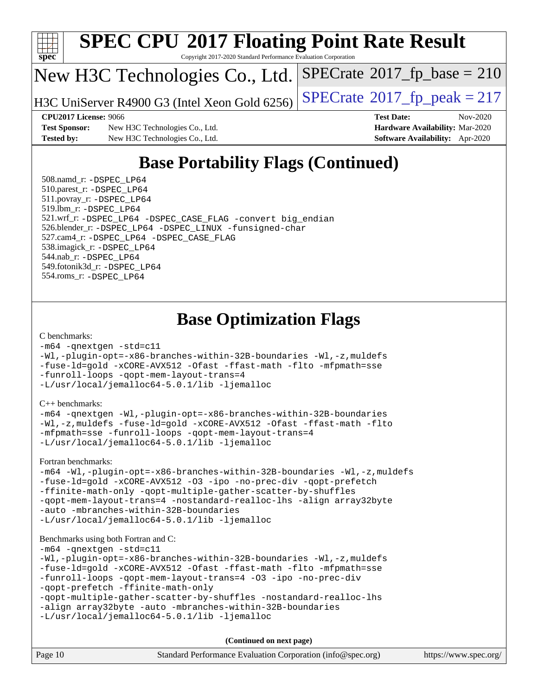

Copyright 2017-2020 Standard Performance Evaluation Corporation

### New H3C Technologies Co., Ltd.

H3C UniServer R4900 G3 (Intel Xeon Gold 6256) [SPECrate](http://www.spec.org/auto/cpu2017/Docs/result-fields.html#SPECrate2017fppeak)®  $2017$  fp peak = 217

**[Test Sponsor:](http://www.spec.org/auto/cpu2017/Docs/result-fields.html#TestSponsor)** New H3C Technologies Co., Ltd. **[Hardware Availability:](http://www.spec.org/auto/cpu2017/Docs/result-fields.html#HardwareAvailability)** Mar-2020 **[Tested by:](http://www.spec.org/auto/cpu2017/Docs/result-fields.html#Testedby)** New H3C Technologies Co., Ltd. **[Software Availability:](http://www.spec.org/auto/cpu2017/Docs/result-fields.html#SoftwareAvailability)** Apr-2020

**[CPU2017 License:](http://www.spec.org/auto/cpu2017/Docs/result-fields.html#CPU2017License)** 9066 **[Test Date:](http://www.spec.org/auto/cpu2017/Docs/result-fields.html#TestDate)** Nov-2020

 $SPECTate$ <sup>®</sup>[2017\\_fp\\_base =](http://www.spec.org/auto/cpu2017/Docs/result-fields.html#SPECrate2017fpbase) 210

## **[Base Portability Flags \(Continued\)](http://www.spec.org/auto/cpu2017/Docs/result-fields.html#BasePortabilityFlags)**

 508.namd\_r: [-DSPEC\\_LP64](http://www.spec.org/cpu2017/results/res2020q4/cpu2017-20201112-24389.flags.html#suite_basePORTABILITY508_namd_r_DSPEC_LP64) 510.parest\_r: [-DSPEC\\_LP64](http://www.spec.org/cpu2017/results/res2020q4/cpu2017-20201112-24389.flags.html#suite_basePORTABILITY510_parest_r_DSPEC_LP64) 511.povray\_r: [-DSPEC\\_LP64](http://www.spec.org/cpu2017/results/res2020q4/cpu2017-20201112-24389.flags.html#suite_basePORTABILITY511_povray_r_DSPEC_LP64) 519.lbm\_r: [-DSPEC\\_LP64](http://www.spec.org/cpu2017/results/res2020q4/cpu2017-20201112-24389.flags.html#suite_basePORTABILITY519_lbm_r_DSPEC_LP64) 521.wrf\_r: [-DSPEC\\_LP64](http://www.spec.org/cpu2017/results/res2020q4/cpu2017-20201112-24389.flags.html#suite_basePORTABILITY521_wrf_r_DSPEC_LP64) [-DSPEC\\_CASE\\_FLAG](http://www.spec.org/cpu2017/results/res2020q4/cpu2017-20201112-24389.flags.html#b521.wrf_r_baseCPORTABILITY_DSPEC_CASE_FLAG) [-convert big\\_endian](http://www.spec.org/cpu2017/results/res2020q4/cpu2017-20201112-24389.flags.html#user_baseFPORTABILITY521_wrf_r_convert_big_endian_c3194028bc08c63ac5d04de18c48ce6d347e4e562e8892b8bdbdc0214820426deb8554edfa529a3fb25a586e65a3d812c835984020483e7e73212c4d31a38223) 526.blender\_r: [-DSPEC\\_LP64](http://www.spec.org/cpu2017/results/res2020q4/cpu2017-20201112-24389.flags.html#suite_basePORTABILITY526_blender_r_DSPEC_LP64) [-DSPEC\\_LINUX](http://www.spec.org/cpu2017/results/res2020q4/cpu2017-20201112-24389.flags.html#b526.blender_r_baseCPORTABILITY_DSPEC_LINUX) [-funsigned-char](http://www.spec.org/cpu2017/results/res2020q4/cpu2017-20201112-24389.flags.html#user_baseCPORTABILITY526_blender_r_force_uchar_40c60f00ab013830e2dd6774aeded3ff59883ba5a1fc5fc14077f794d777847726e2a5858cbc7672e36e1b067e7e5c1d9a74f7176df07886a243d7cc18edfe67) 527.cam4\_r: [-DSPEC\\_LP64](http://www.spec.org/cpu2017/results/res2020q4/cpu2017-20201112-24389.flags.html#suite_basePORTABILITY527_cam4_r_DSPEC_LP64) [-DSPEC\\_CASE\\_FLAG](http://www.spec.org/cpu2017/results/res2020q4/cpu2017-20201112-24389.flags.html#b527.cam4_r_baseCPORTABILITY_DSPEC_CASE_FLAG) 538.imagick\_r: [-DSPEC\\_LP64](http://www.spec.org/cpu2017/results/res2020q4/cpu2017-20201112-24389.flags.html#suite_basePORTABILITY538_imagick_r_DSPEC_LP64) 544.nab\_r: [-DSPEC\\_LP64](http://www.spec.org/cpu2017/results/res2020q4/cpu2017-20201112-24389.flags.html#suite_basePORTABILITY544_nab_r_DSPEC_LP64) 549.fotonik3d\_r: [-DSPEC\\_LP64](http://www.spec.org/cpu2017/results/res2020q4/cpu2017-20201112-24389.flags.html#suite_basePORTABILITY549_fotonik3d_r_DSPEC_LP64) 554.roms\_r: [-DSPEC\\_LP64](http://www.spec.org/cpu2017/results/res2020q4/cpu2017-20201112-24389.flags.html#suite_basePORTABILITY554_roms_r_DSPEC_LP64)

### **[Base Optimization Flags](http://www.spec.org/auto/cpu2017/Docs/result-fields.html#BaseOptimizationFlags)**

#### [C benchmarks](http://www.spec.org/auto/cpu2017/Docs/result-fields.html#Cbenchmarks):

[-m64](http://www.spec.org/cpu2017/results/res2020q4/cpu2017-20201112-24389.flags.html#user_CCbase_m64-icc) [-qnextgen](http://www.spec.org/cpu2017/results/res2020q4/cpu2017-20201112-24389.flags.html#user_CCbase_f-qnextgen) [-std=c11](http://www.spec.org/cpu2017/results/res2020q4/cpu2017-20201112-24389.flags.html#user_CCbase_std-icc-std_0e1c27790398a4642dfca32ffe6c27b5796f9c2d2676156f2e42c9c44eaad0c049b1cdb667a270c34d979996257aeb8fc440bfb01818dbc9357bd9d174cb8524) [-Wl,-plugin-opt=-x86-branches-within-32B-boundaries](http://www.spec.org/cpu2017/results/res2020q4/cpu2017-20201112-24389.flags.html#user_CCbase_f-x86-branches-within-32B-boundaries_0098b4e4317ae60947b7b728078a624952a08ac37a3c797dfb4ffeb399e0c61a9dd0f2f44ce917e9361fb9076ccb15e7824594512dd315205382d84209e912f3) [-Wl,-z,muldefs](http://www.spec.org/cpu2017/results/res2020q4/cpu2017-20201112-24389.flags.html#user_CCbase_link_force_multiple1_b4cbdb97b34bdee9ceefcfe54f4c8ea74255f0b02a4b23e853cdb0e18eb4525ac79b5a88067c842dd0ee6996c24547a27a4b99331201badda8798ef8a743f577) [-fuse-ld=gold](http://www.spec.org/cpu2017/results/res2020q4/cpu2017-20201112-24389.flags.html#user_CCbase_f-fuse-ld_920b3586e2b8c6e0748b9c84fa9b744736ba725a32cab14ad8f3d4ad28eecb2f59d1144823d2e17006539a88734fe1fc08fc3035f7676166309105a78aaabc32) [-xCORE-AVX512](http://www.spec.org/cpu2017/results/res2020q4/cpu2017-20201112-24389.flags.html#user_CCbase_f-xCORE-AVX512) [-Ofast](http://www.spec.org/cpu2017/results/res2020q4/cpu2017-20201112-24389.flags.html#user_CCbase_f-Ofast) [-ffast-math](http://www.spec.org/cpu2017/results/res2020q4/cpu2017-20201112-24389.flags.html#user_CCbase_f-ffast-math) [-flto](http://www.spec.org/cpu2017/results/res2020q4/cpu2017-20201112-24389.flags.html#user_CCbase_f-flto) [-mfpmath=sse](http://www.spec.org/cpu2017/results/res2020q4/cpu2017-20201112-24389.flags.html#user_CCbase_f-mfpmath_70eb8fac26bde974f8ab713bc9086c5621c0b8d2f6c86f38af0bd7062540daf19db5f3a066d8c6684be05d84c9b6322eb3b5be6619d967835195b93d6c02afa1) [-funroll-loops](http://www.spec.org/cpu2017/results/res2020q4/cpu2017-20201112-24389.flags.html#user_CCbase_f-funroll-loops) [-qopt-mem-layout-trans=4](http://www.spec.org/cpu2017/results/res2020q4/cpu2017-20201112-24389.flags.html#user_CCbase_f-qopt-mem-layout-trans_fa39e755916c150a61361b7846f310bcdf6f04e385ef281cadf3647acec3f0ae266d1a1d22d972a7087a248fd4e6ca390a3634700869573d231a252c784941a8) [-L/usr/local/jemalloc64-5.0.1/lib](http://www.spec.org/cpu2017/results/res2020q4/cpu2017-20201112-24389.flags.html#user_CCbase_jemalloc_link_path64_1_cc289568b1a6c0fd3b62c91b824c27fcb5af5e8098e6ad028160d21144ef1b8aef3170d2acf0bee98a8da324cfe4f67d0a3d0c4cc4673d993d694dc2a0df248b) [-ljemalloc](http://www.spec.org/cpu2017/results/res2020q4/cpu2017-20201112-24389.flags.html#user_CCbase_jemalloc_link_lib_d1249b907c500fa1c0672f44f562e3d0f79738ae9e3c4a9c376d49f265a04b9c99b167ecedbf6711b3085be911c67ff61f150a17b3472be731631ba4d0471706)

#### [C++ benchmarks:](http://www.spec.org/auto/cpu2017/Docs/result-fields.html#CXXbenchmarks)

[-m64](http://www.spec.org/cpu2017/results/res2020q4/cpu2017-20201112-24389.flags.html#user_CXXbase_m64-icc) [-qnextgen](http://www.spec.org/cpu2017/results/res2020q4/cpu2017-20201112-24389.flags.html#user_CXXbase_f-qnextgen) [-Wl,-plugin-opt=-x86-branches-within-32B-boundaries](http://www.spec.org/cpu2017/results/res2020q4/cpu2017-20201112-24389.flags.html#user_CXXbase_f-x86-branches-within-32B-boundaries_0098b4e4317ae60947b7b728078a624952a08ac37a3c797dfb4ffeb399e0c61a9dd0f2f44ce917e9361fb9076ccb15e7824594512dd315205382d84209e912f3) [-Wl,-z,muldefs](http://www.spec.org/cpu2017/results/res2020q4/cpu2017-20201112-24389.flags.html#user_CXXbase_link_force_multiple1_b4cbdb97b34bdee9ceefcfe54f4c8ea74255f0b02a4b23e853cdb0e18eb4525ac79b5a88067c842dd0ee6996c24547a27a4b99331201badda8798ef8a743f577) [-fuse-ld=gold](http://www.spec.org/cpu2017/results/res2020q4/cpu2017-20201112-24389.flags.html#user_CXXbase_f-fuse-ld_920b3586e2b8c6e0748b9c84fa9b744736ba725a32cab14ad8f3d4ad28eecb2f59d1144823d2e17006539a88734fe1fc08fc3035f7676166309105a78aaabc32) [-xCORE-AVX512](http://www.spec.org/cpu2017/results/res2020q4/cpu2017-20201112-24389.flags.html#user_CXXbase_f-xCORE-AVX512) [-Ofast](http://www.spec.org/cpu2017/results/res2020q4/cpu2017-20201112-24389.flags.html#user_CXXbase_f-Ofast) [-ffast-math](http://www.spec.org/cpu2017/results/res2020q4/cpu2017-20201112-24389.flags.html#user_CXXbase_f-ffast-math) [-flto](http://www.spec.org/cpu2017/results/res2020q4/cpu2017-20201112-24389.flags.html#user_CXXbase_f-flto) [-mfpmath=sse](http://www.spec.org/cpu2017/results/res2020q4/cpu2017-20201112-24389.flags.html#user_CXXbase_f-mfpmath_70eb8fac26bde974f8ab713bc9086c5621c0b8d2f6c86f38af0bd7062540daf19db5f3a066d8c6684be05d84c9b6322eb3b5be6619d967835195b93d6c02afa1) [-funroll-loops](http://www.spec.org/cpu2017/results/res2020q4/cpu2017-20201112-24389.flags.html#user_CXXbase_f-funroll-loops) [-qopt-mem-layout-trans=4](http://www.spec.org/cpu2017/results/res2020q4/cpu2017-20201112-24389.flags.html#user_CXXbase_f-qopt-mem-layout-trans_fa39e755916c150a61361b7846f310bcdf6f04e385ef281cadf3647acec3f0ae266d1a1d22d972a7087a248fd4e6ca390a3634700869573d231a252c784941a8) [-L/usr/local/jemalloc64-5.0.1/lib](http://www.spec.org/cpu2017/results/res2020q4/cpu2017-20201112-24389.flags.html#user_CXXbase_jemalloc_link_path64_1_cc289568b1a6c0fd3b62c91b824c27fcb5af5e8098e6ad028160d21144ef1b8aef3170d2acf0bee98a8da324cfe4f67d0a3d0c4cc4673d993d694dc2a0df248b) [-ljemalloc](http://www.spec.org/cpu2017/results/res2020q4/cpu2017-20201112-24389.flags.html#user_CXXbase_jemalloc_link_lib_d1249b907c500fa1c0672f44f562e3d0f79738ae9e3c4a9c376d49f265a04b9c99b167ecedbf6711b3085be911c67ff61f150a17b3472be731631ba4d0471706)

#### [Fortran benchmarks](http://www.spec.org/auto/cpu2017/Docs/result-fields.html#Fortranbenchmarks):

[-m64](http://www.spec.org/cpu2017/results/res2020q4/cpu2017-20201112-24389.flags.html#user_FCbase_m64-icc) [-Wl,-plugin-opt=-x86-branches-within-32B-boundaries](http://www.spec.org/cpu2017/results/res2020q4/cpu2017-20201112-24389.flags.html#user_FCbase_f-x86-branches-within-32B-boundaries_0098b4e4317ae60947b7b728078a624952a08ac37a3c797dfb4ffeb399e0c61a9dd0f2f44ce917e9361fb9076ccb15e7824594512dd315205382d84209e912f3) [-Wl,-z,muldefs](http://www.spec.org/cpu2017/results/res2020q4/cpu2017-20201112-24389.flags.html#user_FCbase_link_force_multiple1_b4cbdb97b34bdee9ceefcfe54f4c8ea74255f0b02a4b23e853cdb0e18eb4525ac79b5a88067c842dd0ee6996c24547a27a4b99331201badda8798ef8a743f577) [-fuse-ld=gold](http://www.spec.org/cpu2017/results/res2020q4/cpu2017-20201112-24389.flags.html#user_FCbase_f-fuse-ld_920b3586e2b8c6e0748b9c84fa9b744736ba725a32cab14ad8f3d4ad28eecb2f59d1144823d2e17006539a88734fe1fc08fc3035f7676166309105a78aaabc32) [-xCORE-AVX512](http://www.spec.org/cpu2017/results/res2020q4/cpu2017-20201112-24389.flags.html#user_FCbase_f-xCORE-AVX512) [-O3](http://www.spec.org/cpu2017/results/res2020q4/cpu2017-20201112-24389.flags.html#user_FCbase_f-O3) [-ipo](http://www.spec.org/cpu2017/results/res2020q4/cpu2017-20201112-24389.flags.html#user_FCbase_f-ipo) [-no-prec-div](http://www.spec.org/cpu2017/results/res2020q4/cpu2017-20201112-24389.flags.html#user_FCbase_f-no-prec-div) [-qopt-prefetch](http://www.spec.org/cpu2017/results/res2020q4/cpu2017-20201112-24389.flags.html#user_FCbase_f-qopt-prefetch) [-ffinite-math-only](http://www.spec.org/cpu2017/results/res2020q4/cpu2017-20201112-24389.flags.html#user_FCbase_f_finite_math_only_cb91587bd2077682c4b38af759c288ed7c732db004271a9512da14a4f8007909a5f1427ecbf1a0fb78ff2a814402c6114ac565ca162485bbcae155b5e4258871) [-qopt-multiple-gather-scatter-by-shuffles](http://www.spec.org/cpu2017/results/res2020q4/cpu2017-20201112-24389.flags.html#user_FCbase_f-qopt-multiple-gather-scatter-by-shuffles) [-qopt-mem-layout-trans=4](http://www.spec.org/cpu2017/results/res2020q4/cpu2017-20201112-24389.flags.html#user_FCbase_f-qopt-mem-layout-trans_fa39e755916c150a61361b7846f310bcdf6f04e385ef281cadf3647acec3f0ae266d1a1d22d972a7087a248fd4e6ca390a3634700869573d231a252c784941a8) [-nostandard-realloc-lhs](http://www.spec.org/cpu2017/results/res2020q4/cpu2017-20201112-24389.flags.html#user_FCbase_f_2003_std_realloc_82b4557e90729c0f113870c07e44d33d6f5a304b4f63d4c15d2d0f1fab99f5daaed73bdb9275d9ae411527f28b936061aa8b9c8f2d63842963b95c9dd6426b8a) [-align array32byte](http://www.spec.org/cpu2017/results/res2020q4/cpu2017-20201112-24389.flags.html#user_FCbase_align_array32byte_b982fe038af199962ba9a80c053b8342c548c85b40b8e86eb3cc33dee0d7986a4af373ac2d51c3f7cf710a18d62fdce2948f201cd044323541f22fc0fffc51b6) [-auto](http://www.spec.org/cpu2017/results/res2020q4/cpu2017-20201112-24389.flags.html#user_FCbase_f-auto) [-mbranches-within-32B-boundaries](http://www.spec.org/cpu2017/results/res2020q4/cpu2017-20201112-24389.flags.html#user_FCbase_f-mbranches-within-32B-boundaries) [-L/usr/local/jemalloc64-5.0.1/lib](http://www.spec.org/cpu2017/results/res2020q4/cpu2017-20201112-24389.flags.html#user_FCbase_jemalloc_link_path64_1_cc289568b1a6c0fd3b62c91b824c27fcb5af5e8098e6ad028160d21144ef1b8aef3170d2acf0bee98a8da324cfe4f67d0a3d0c4cc4673d993d694dc2a0df248b) [-ljemalloc](http://www.spec.org/cpu2017/results/res2020q4/cpu2017-20201112-24389.flags.html#user_FCbase_jemalloc_link_lib_d1249b907c500fa1c0672f44f562e3d0f79738ae9e3c4a9c376d49f265a04b9c99b167ecedbf6711b3085be911c67ff61f150a17b3472be731631ba4d0471706)

#### [Benchmarks using both Fortran and C](http://www.spec.org/auto/cpu2017/Docs/result-fields.html#BenchmarksusingbothFortranandC):

```
-m64 -qnextgen -std=c11
-Wl,-plugin-opt=-x86-branches-within-32B-boundaries -Wl,-z,muldefs
-fuse-ld=gold -xCORE-AVX512 -Ofast -ffast-math -flto -mfpmath=sse
-funroll-loops -qopt-mem-layout-trans=4 -O3 -ipo -no-prec-div
-qopt-prefetch -ffinite-math-only
-qopt-multiple-gather-scatter-by-shuffles -nostandard-realloc-lhs
-align array32byte -auto -mbranches-within-32B-boundaries
-L/usr/local/jemalloc64-5.0.1/lib -ljemalloc
```
Page 10 Standard Performance Evaluation Corporation [\(info@spec.org\)](mailto:info@spec.org) <https://www.spec.org/> **(Continued on next page)**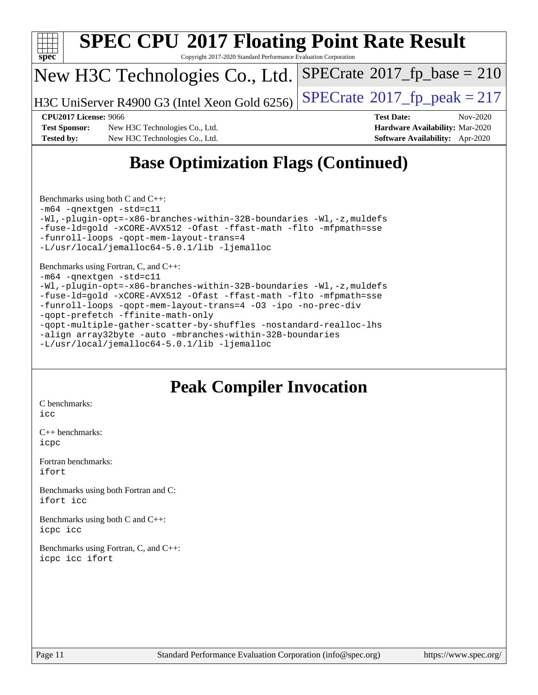

## **[Base Optimization Flags \(Continued\)](http://www.spec.org/auto/cpu2017/Docs/result-fields.html#BaseOptimizationFlags)**

[Benchmarks using both C and C++](http://www.spec.org/auto/cpu2017/Docs/result-fields.html#BenchmarksusingbothCandCXX): [-m64](http://www.spec.org/cpu2017/results/res2020q4/cpu2017-20201112-24389.flags.html#user_CC_CXXbase_m64-icc) [-qnextgen](http://www.spec.org/cpu2017/results/res2020q4/cpu2017-20201112-24389.flags.html#user_CC_CXXbase_f-qnextgen) [-std=c11](http://www.spec.org/cpu2017/results/res2020q4/cpu2017-20201112-24389.flags.html#user_CC_CXXbase_std-icc-std_0e1c27790398a4642dfca32ffe6c27b5796f9c2d2676156f2e42c9c44eaad0c049b1cdb667a270c34d979996257aeb8fc440bfb01818dbc9357bd9d174cb8524) [-Wl,-plugin-opt=-x86-branches-within-32B-boundaries](http://www.spec.org/cpu2017/results/res2020q4/cpu2017-20201112-24389.flags.html#user_CC_CXXbase_f-x86-branches-within-32B-boundaries_0098b4e4317ae60947b7b728078a624952a08ac37a3c797dfb4ffeb399e0c61a9dd0f2f44ce917e9361fb9076ccb15e7824594512dd315205382d84209e912f3) [-Wl,-z,muldefs](http://www.spec.org/cpu2017/results/res2020q4/cpu2017-20201112-24389.flags.html#user_CC_CXXbase_link_force_multiple1_b4cbdb97b34bdee9ceefcfe54f4c8ea74255f0b02a4b23e853cdb0e18eb4525ac79b5a88067c842dd0ee6996c24547a27a4b99331201badda8798ef8a743f577) [-fuse-ld=gold](http://www.spec.org/cpu2017/results/res2020q4/cpu2017-20201112-24389.flags.html#user_CC_CXXbase_f-fuse-ld_920b3586e2b8c6e0748b9c84fa9b744736ba725a32cab14ad8f3d4ad28eecb2f59d1144823d2e17006539a88734fe1fc08fc3035f7676166309105a78aaabc32) [-xCORE-AVX512](http://www.spec.org/cpu2017/results/res2020q4/cpu2017-20201112-24389.flags.html#user_CC_CXXbase_f-xCORE-AVX512) [-Ofast](http://www.spec.org/cpu2017/results/res2020q4/cpu2017-20201112-24389.flags.html#user_CC_CXXbase_f-Ofast) [-ffast-math](http://www.spec.org/cpu2017/results/res2020q4/cpu2017-20201112-24389.flags.html#user_CC_CXXbase_f-ffast-math) [-flto](http://www.spec.org/cpu2017/results/res2020q4/cpu2017-20201112-24389.flags.html#user_CC_CXXbase_f-flto) [-mfpmath=sse](http://www.spec.org/cpu2017/results/res2020q4/cpu2017-20201112-24389.flags.html#user_CC_CXXbase_f-mfpmath_70eb8fac26bde974f8ab713bc9086c5621c0b8d2f6c86f38af0bd7062540daf19db5f3a066d8c6684be05d84c9b6322eb3b5be6619d967835195b93d6c02afa1) [-funroll-loops](http://www.spec.org/cpu2017/results/res2020q4/cpu2017-20201112-24389.flags.html#user_CC_CXXbase_f-funroll-loops) [-qopt-mem-layout-trans=4](http://www.spec.org/cpu2017/results/res2020q4/cpu2017-20201112-24389.flags.html#user_CC_CXXbase_f-qopt-mem-layout-trans_fa39e755916c150a61361b7846f310bcdf6f04e385ef281cadf3647acec3f0ae266d1a1d22d972a7087a248fd4e6ca390a3634700869573d231a252c784941a8) [-L/usr/local/jemalloc64-5.0.1/lib](http://www.spec.org/cpu2017/results/res2020q4/cpu2017-20201112-24389.flags.html#user_CC_CXXbase_jemalloc_link_path64_1_cc289568b1a6c0fd3b62c91b824c27fcb5af5e8098e6ad028160d21144ef1b8aef3170d2acf0bee98a8da324cfe4f67d0a3d0c4cc4673d993d694dc2a0df248b) [-ljemalloc](http://www.spec.org/cpu2017/results/res2020q4/cpu2017-20201112-24389.flags.html#user_CC_CXXbase_jemalloc_link_lib_d1249b907c500fa1c0672f44f562e3d0f79738ae9e3c4a9c376d49f265a04b9c99b167ecedbf6711b3085be911c67ff61f150a17b3472be731631ba4d0471706)

[Benchmarks using Fortran, C, and C++:](http://www.spec.org/auto/cpu2017/Docs/result-fields.html#BenchmarksusingFortranCandCXX) [-m64](http://www.spec.org/cpu2017/results/res2020q4/cpu2017-20201112-24389.flags.html#user_CC_CXX_FCbase_m64-icc) [-qnextgen](http://www.spec.org/cpu2017/results/res2020q4/cpu2017-20201112-24389.flags.html#user_CC_CXX_FCbase_f-qnextgen) [-std=c11](http://www.spec.org/cpu2017/results/res2020q4/cpu2017-20201112-24389.flags.html#user_CC_CXX_FCbase_std-icc-std_0e1c27790398a4642dfca32ffe6c27b5796f9c2d2676156f2e42c9c44eaad0c049b1cdb667a270c34d979996257aeb8fc440bfb01818dbc9357bd9d174cb8524) [-Wl,-plugin-opt=-x86-branches-within-32B-boundaries](http://www.spec.org/cpu2017/results/res2020q4/cpu2017-20201112-24389.flags.html#user_CC_CXX_FCbase_f-x86-branches-within-32B-boundaries_0098b4e4317ae60947b7b728078a624952a08ac37a3c797dfb4ffeb399e0c61a9dd0f2f44ce917e9361fb9076ccb15e7824594512dd315205382d84209e912f3) [-Wl,-z,muldefs](http://www.spec.org/cpu2017/results/res2020q4/cpu2017-20201112-24389.flags.html#user_CC_CXX_FCbase_link_force_multiple1_b4cbdb97b34bdee9ceefcfe54f4c8ea74255f0b02a4b23e853cdb0e18eb4525ac79b5a88067c842dd0ee6996c24547a27a4b99331201badda8798ef8a743f577) [-fuse-ld=gold](http://www.spec.org/cpu2017/results/res2020q4/cpu2017-20201112-24389.flags.html#user_CC_CXX_FCbase_f-fuse-ld_920b3586e2b8c6e0748b9c84fa9b744736ba725a32cab14ad8f3d4ad28eecb2f59d1144823d2e17006539a88734fe1fc08fc3035f7676166309105a78aaabc32) [-xCORE-AVX512](http://www.spec.org/cpu2017/results/res2020q4/cpu2017-20201112-24389.flags.html#user_CC_CXX_FCbase_f-xCORE-AVX512) [-Ofast](http://www.spec.org/cpu2017/results/res2020q4/cpu2017-20201112-24389.flags.html#user_CC_CXX_FCbase_f-Ofast) [-ffast-math](http://www.spec.org/cpu2017/results/res2020q4/cpu2017-20201112-24389.flags.html#user_CC_CXX_FCbase_f-ffast-math) [-flto](http://www.spec.org/cpu2017/results/res2020q4/cpu2017-20201112-24389.flags.html#user_CC_CXX_FCbase_f-flto) [-mfpmath=sse](http://www.spec.org/cpu2017/results/res2020q4/cpu2017-20201112-24389.flags.html#user_CC_CXX_FCbase_f-mfpmath_70eb8fac26bde974f8ab713bc9086c5621c0b8d2f6c86f38af0bd7062540daf19db5f3a066d8c6684be05d84c9b6322eb3b5be6619d967835195b93d6c02afa1) [-funroll-loops](http://www.spec.org/cpu2017/results/res2020q4/cpu2017-20201112-24389.flags.html#user_CC_CXX_FCbase_f-funroll-loops) [-qopt-mem-layout-trans=4](http://www.spec.org/cpu2017/results/res2020q4/cpu2017-20201112-24389.flags.html#user_CC_CXX_FCbase_f-qopt-mem-layout-trans_fa39e755916c150a61361b7846f310bcdf6f04e385ef281cadf3647acec3f0ae266d1a1d22d972a7087a248fd4e6ca390a3634700869573d231a252c784941a8) [-O3](http://www.spec.org/cpu2017/results/res2020q4/cpu2017-20201112-24389.flags.html#user_CC_CXX_FCbase_f-O3) [-ipo](http://www.spec.org/cpu2017/results/res2020q4/cpu2017-20201112-24389.flags.html#user_CC_CXX_FCbase_f-ipo) [-no-prec-div](http://www.spec.org/cpu2017/results/res2020q4/cpu2017-20201112-24389.flags.html#user_CC_CXX_FCbase_f-no-prec-div) [-qopt-prefetch](http://www.spec.org/cpu2017/results/res2020q4/cpu2017-20201112-24389.flags.html#user_CC_CXX_FCbase_f-qopt-prefetch) [-ffinite-math-only](http://www.spec.org/cpu2017/results/res2020q4/cpu2017-20201112-24389.flags.html#user_CC_CXX_FCbase_f_finite_math_only_cb91587bd2077682c4b38af759c288ed7c732db004271a9512da14a4f8007909a5f1427ecbf1a0fb78ff2a814402c6114ac565ca162485bbcae155b5e4258871) [-qopt-multiple-gather-scatter-by-shuffles](http://www.spec.org/cpu2017/results/res2020q4/cpu2017-20201112-24389.flags.html#user_CC_CXX_FCbase_f-qopt-multiple-gather-scatter-by-shuffles) [-nostandard-realloc-lhs](http://www.spec.org/cpu2017/results/res2020q4/cpu2017-20201112-24389.flags.html#user_CC_CXX_FCbase_f_2003_std_realloc_82b4557e90729c0f113870c07e44d33d6f5a304b4f63d4c15d2d0f1fab99f5daaed73bdb9275d9ae411527f28b936061aa8b9c8f2d63842963b95c9dd6426b8a) [-align array32byte](http://www.spec.org/cpu2017/results/res2020q4/cpu2017-20201112-24389.flags.html#user_CC_CXX_FCbase_align_array32byte_b982fe038af199962ba9a80c053b8342c548c85b40b8e86eb3cc33dee0d7986a4af373ac2d51c3f7cf710a18d62fdce2948f201cd044323541f22fc0fffc51b6) [-auto](http://www.spec.org/cpu2017/results/res2020q4/cpu2017-20201112-24389.flags.html#user_CC_CXX_FCbase_f-auto) [-mbranches-within-32B-boundaries](http://www.spec.org/cpu2017/results/res2020q4/cpu2017-20201112-24389.flags.html#user_CC_CXX_FCbase_f-mbranches-within-32B-boundaries) [-L/usr/local/jemalloc64-5.0.1/lib](http://www.spec.org/cpu2017/results/res2020q4/cpu2017-20201112-24389.flags.html#user_CC_CXX_FCbase_jemalloc_link_path64_1_cc289568b1a6c0fd3b62c91b824c27fcb5af5e8098e6ad028160d21144ef1b8aef3170d2acf0bee98a8da324cfe4f67d0a3d0c4cc4673d993d694dc2a0df248b) [-ljemalloc](http://www.spec.org/cpu2017/results/res2020q4/cpu2017-20201112-24389.flags.html#user_CC_CXX_FCbase_jemalloc_link_lib_d1249b907c500fa1c0672f44f562e3d0f79738ae9e3c4a9c376d49f265a04b9c99b167ecedbf6711b3085be911c67ff61f150a17b3472be731631ba4d0471706)

#### **[Peak Compiler Invocation](http://www.spec.org/auto/cpu2017/Docs/result-fields.html#PeakCompilerInvocation)**

[C benchmarks](http://www.spec.org/auto/cpu2017/Docs/result-fields.html#Cbenchmarks): [icc](http://www.spec.org/cpu2017/results/res2020q4/cpu2017-20201112-24389.flags.html#user_CCpeak_intel_icc_66fc1ee009f7361af1fbd72ca7dcefbb700085f36577c54f309893dd4ec40d12360134090235512931783d35fd58c0460139e722d5067c5574d8eaf2b3e37e92)

[C++ benchmarks:](http://www.spec.org/auto/cpu2017/Docs/result-fields.html#CXXbenchmarks) [icpc](http://www.spec.org/cpu2017/results/res2020q4/cpu2017-20201112-24389.flags.html#user_CXXpeak_intel_icpc_c510b6838c7f56d33e37e94d029a35b4a7bccf4766a728ee175e80a419847e808290a9b78be685c44ab727ea267ec2f070ec5dc83b407c0218cded6866a35d07)

[Fortran benchmarks](http://www.spec.org/auto/cpu2017/Docs/result-fields.html#Fortranbenchmarks): [ifort](http://www.spec.org/cpu2017/results/res2020q4/cpu2017-20201112-24389.flags.html#user_FCpeak_intel_ifort_8111460550e3ca792625aed983ce982f94888b8b503583aa7ba2b8303487b4d8a21a13e7191a45c5fd58ff318f48f9492884d4413fa793fd88dd292cad7027ca)

[Benchmarks using both Fortran and C](http://www.spec.org/auto/cpu2017/Docs/result-fields.html#BenchmarksusingbothFortranandC): [ifort](http://www.spec.org/cpu2017/results/res2020q4/cpu2017-20201112-24389.flags.html#user_CC_FCpeak_intel_ifort_8111460550e3ca792625aed983ce982f94888b8b503583aa7ba2b8303487b4d8a21a13e7191a45c5fd58ff318f48f9492884d4413fa793fd88dd292cad7027ca) [icc](http://www.spec.org/cpu2017/results/res2020q4/cpu2017-20201112-24389.flags.html#user_CC_FCpeak_intel_icc_66fc1ee009f7361af1fbd72ca7dcefbb700085f36577c54f309893dd4ec40d12360134090235512931783d35fd58c0460139e722d5067c5574d8eaf2b3e37e92)

[Benchmarks using both C and C++](http://www.spec.org/auto/cpu2017/Docs/result-fields.html#BenchmarksusingbothCandCXX): [icpc](http://www.spec.org/cpu2017/results/res2020q4/cpu2017-20201112-24389.flags.html#user_CC_CXXpeak_intel_icpc_c510b6838c7f56d33e37e94d029a35b4a7bccf4766a728ee175e80a419847e808290a9b78be685c44ab727ea267ec2f070ec5dc83b407c0218cded6866a35d07) [icc](http://www.spec.org/cpu2017/results/res2020q4/cpu2017-20201112-24389.flags.html#user_CC_CXXpeak_intel_icc_66fc1ee009f7361af1fbd72ca7dcefbb700085f36577c54f309893dd4ec40d12360134090235512931783d35fd58c0460139e722d5067c5574d8eaf2b3e37e92)

[Benchmarks using Fortran, C, and C++:](http://www.spec.org/auto/cpu2017/Docs/result-fields.html#BenchmarksusingFortranCandCXX) [icpc](http://www.spec.org/cpu2017/results/res2020q4/cpu2017-20201112-24389.flags.html#user_CC_CXX_FCpeak_intel_icpc_c510b6838c7f56d33e37e94d029a35b4a7bccf4766a728ee175e80a419847e808290a9b78be685c44ab727ea267ec2f070ec5dc83b407c0218cded6866a35d07) [icc](http://www.spec.org/cpu2017/results/res2020q4/cpu2017-20201112-24389.flags.html#user_CC_CXX_FCpeak_intel_icc_66fc1ee009f7361af1fbd72ca7dcefbb700085f36577c54f309893dd4ec40d12360134090235512931783d35fd58c0460139e722d5067c5574d8eaf2b3e37e92) [ifort](http://www.spec.org/cpu2017/results/res2020q4/cpu2017-20201112-24389.flags.html#user_CC_CXX_FCpeak_intel_ifort_8111460550e3ca792625aed983ce982f94888b8b503583aa7ba2b8303487b4d8a21a13e7191a45c5fd58ff318f48f9492884d4413fa793fd88dd292cad7027ca)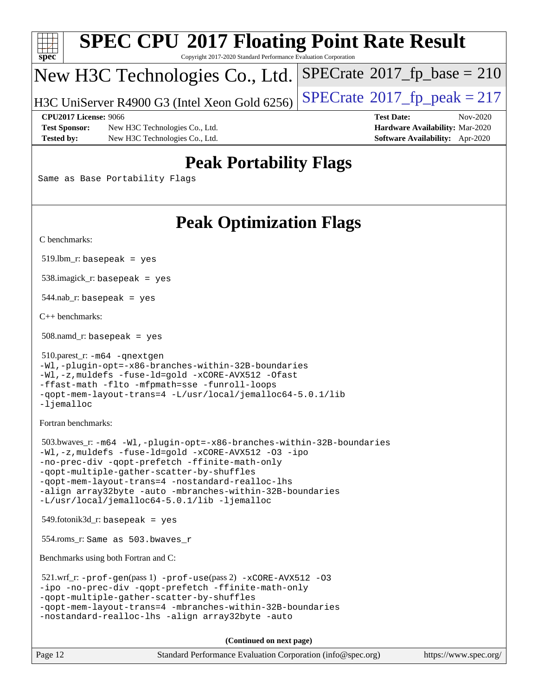| S<br>Dе<br>U |  |  |  |  |  |  |
|--------------|--|--|--|--|--|--|

Copyright 2017-2020 Standard Performance Evaluation Corporation

### New H3C Technologies Co., Ltd.

H3C UniServer R4900 G3 (Intel Xeon Gold 6256)  $\vert$  [SPECrate](http://www.spec.org/auto/cpu2017/Docs/result-fields.html#SPECrate2017fppeak)®[2017\\_fp\\_peak = 2](http://www.spec.org/auto/cpu2017/Docs/result-fields.html#SPECrate2017fppeak)17

 $SPECTate$ <sup>®</sup>[2017\\_fp\\_base =](http://www.spec.org/auto/cpu2017/Docs/result-fields.html#SPECrate2017fpbase) 210

**[Test Sponsor:](http://www.spec.org/auto/cpu2017/Docs/result-fields.html#TestSponsor)** New H3C Technologies Co., Ltd. **[Hardware Availability:](http://www.spec.org/auto/cpu2017/Docs/result-fields.html#HardwareAvailability)** Mar-2020 **[Tested by:](http://www.spec.org/auto/cpu2017/Docs/result-fields.html#Testedby)** New H3C Technologies Co., Ltd. **[Software Availability:](http://www.spec.org/auto/cpu2017/Docs/result-fields.html#SoftwareAvailability)** Apr-2020

**[CPU2017 License:](http://www.spec.org/auto/cpu2017/Docs/result-fields.html#CPU2017License)** 9066 **[Test Date:](http://www.spec.org/auto/cpu2017/Docs/result-fields.html#TestDate)** Nov-2020

### **[Peak Portability Flags](http://www.spec.org/auto/cpu2017/Docs/result-fields.html#PeakPortabilityFlags)**

Same as Base Portability Flags

## **[Peak Optimization Flags](http://www.spec.org/auto/cpu2017/Docs/result-fields.html#PeakOptimizationFlags)**

[C benchmarks](http://www.spec.org/auto/cpu2017/Docs/result-fields.html#Cbenchmarks):

 $519.$ lbm\_r: basepeak = yes

538.imagick\_r: basepeak = yes

544.nab\_r: basepeak = yes

[C++ benchmarks:](http://www.spec.org/auto/cpu2017/Docs/result-fields.html#CXXbenchmarks)

508.namd\_r: basepeak = yes

```
 510.parest_r: -m64 -qnextgen
-Wl,-plugin-opt=-x86-branches-within-32B-boundaries
-Wl,-z,muldefs -fuse-ld=gold -xCORE-AVX512 -Ofast
-ffast-math -flto -mfpmath=sse -funroll-loops
-qopt-mem-layout-trans=4 -L/usr/local/jemalloc64-5.0.1/lib
-ljemalloc
```
[Fortran benchmarks](http://www.spec.org/auto/cpu2017/Docs/result-fields.html#Fortranbenchmarks):

```
 503.bwaves_r: -m64 -Wl,-plugin-opt=-x86-branches-within-32B-boundaries
-Wl,-z,muldefs -fuse-ld=gold -xCORE-AVX512 -O3 -ipo
-no-prec-div -qopt-prefetch -ffinite-math-only
-qopt-multiple-gather-scatter-by-shuffles
-qopt-mem-layout-trans=4 -nostandard-realloc-lhs
-align array32byte -auto -mbranches-within-32B-boundaries
-L/usr/local/jemalloc64-5.0.1/lib -ljemalloc
```
549.fotonik3d\_r: basepeak = yes

554.roms\_r: Same as 503.bwaves\_r

[Benchmarks using both Fortran and C](http://www.spec.org/auto/cpu2017/Docs/result-fields.html#BenchmarksusingbothFortranandC):

```
 521.wrf_r: -prof-gen(pass 1) -prof-use(pass 2) -xCORE-AVX512 -O3
-ipo -no-prec-div -qopt-prefetch -ffinite-math-only
-qopt-multiple-gather-scatter-by-shuffles
-qopt-mem-layout-trans=4 -mbranches-within-32B-boundaries
-nostandard-realloc-lhs -align array32byte -auto
```
**(Continued on next page)**